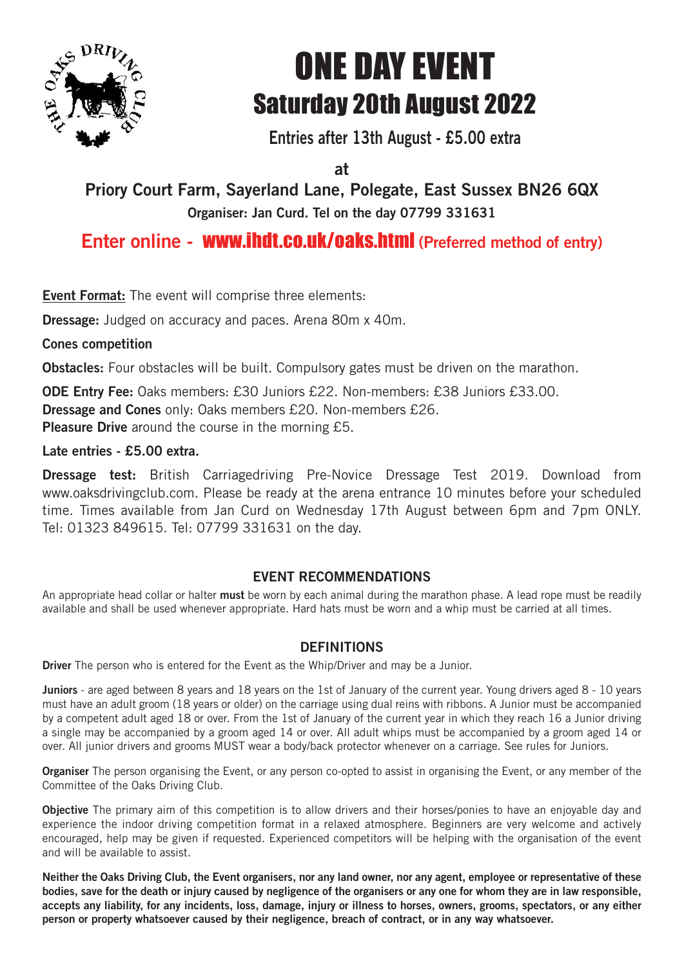

# ONE DAY EVENT Saturday 20th August 2022

**Entries after 13th August - £5.00 extra**

**at**

**Priory Court Farm, Sayerland Lane, Polegate, East Sussex BN26 6QX Organiser: Jan Curd. Tel on the day 07799 331631**

## **Enter online -** www.ihdt.co.uk/oaks.html **(Preferred method of entry)**

**Event Format:** The event will comprise three elements:

**Dressage:** Judged on accuracy and paces. Arena 80m x 40m.

#### **Cones competition**

**Obstacles:** Four obstacles will be built. Compulsory gates must be driven on the marathon.

**ODE Entry Fee:** Oaks members: £30 Juniors £22. Non-members: £38 Juniors £33.00. **Dressage and Cones** only: Oaks members £20. Non-members £26. **Pleasure Drive** around the course in the morning £5.

#### **Late entries - £5.00 extra.**

**Dressage test:** British Carriagedriving Pre-Novice Dressage Test 2019. Download from www.oaksdrivingclub.com. Please be ready at the arena entrance 10 minutes before your scheduled time. Times available from Jan Curd on Wednesday 17th August between 6pm and 7pm ONLY. Tel: 01323 849615. Tel: 07799 331631 on the day.

### **EVENT RECOMMENDATIONS**

An appropriate head collar or halter **must** be worn by each animal during the marathon phase. A lead rope must be readily available and shall be used whenever appropriate. Hard hats must be worn and a whip must be carried at all times.

#### **DEFINITIONS**

**Driver** The person who is entered for the Event as the Whip/Driver and may be a Junior.

**Juniors** - are aged between 8 years and 18 years on the 1st of January of the current year. Young drivers aged 8 - 10 years must have an adult groom (18 years or older) on the carriage using dual reins with ribbons. A Junior must be accompanied by a competent adult aged 18 or over. From the 1st of January of the current year in which they reach 16 a Junior driving a single may be accompanied by a groom aged 14 or over. All adult whips must be accompanied by a groom aged 14 or over. All junior drivers and grooms MUST wear a body/back protector whenever on a carriage. See rules for Juniors.

**Organiser** The person organising the Event, or any person co-opted to assist in organising the Event, or any member of the Committee of the Oaks Driving Club.

**Objective** The primary aim of this competition is to allow drivers and their horses/ponies to have an enjoyable day and experience the indoor driving competition format in a relaxed atmosphere. Beginners are very welcome and actively encouraged, help may be given if requested. Experienced competitors will be helping with the organisation of the event and will be available to assist.

Neither the Oaks Driving Club, the Event organisers, nor any land owner, nor any agent, employee or representative of these bodies, save for the death or injury caused by negligence of the organisers or any one for whom they are in law responsible, accepts any liability, for any incidents, loss, damage, injury or illness to horses, owners, grooms, spectators, or any either **person or property whatsoever caused by their negligence, breach of contract, or in any way whatsoever.**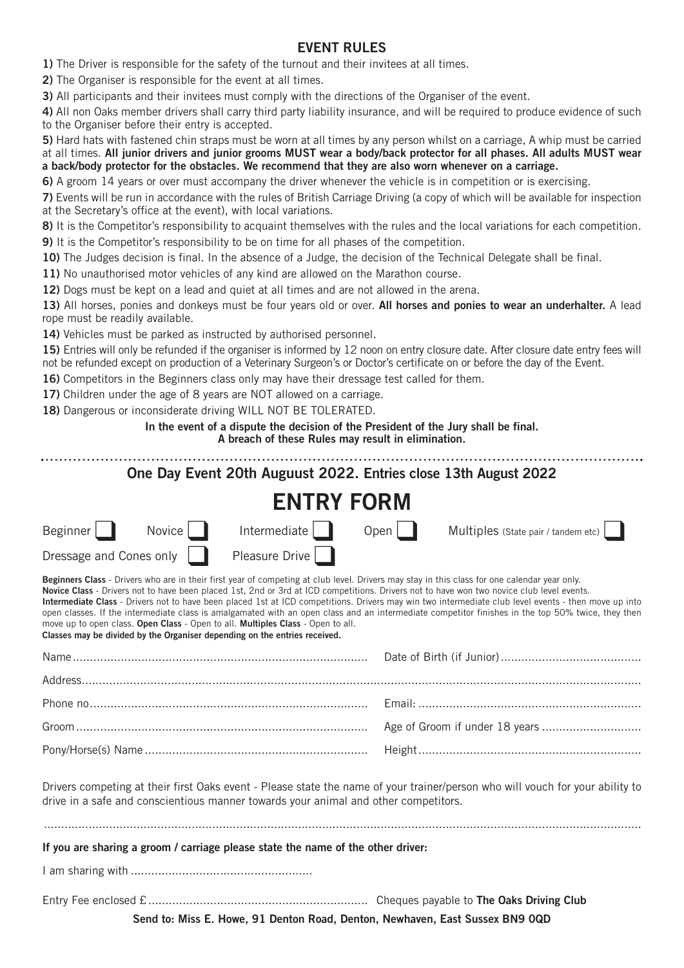#### **EVENT RULES**

**1)** The Driver is responsible for the safety of the turnout and their invitees at all times.

**2)** The Organiser is responsible for the event at all times.

**3)** All participants and their invitees must comply with the directions of the Organiser of the event.

**4)** All non Oaks member drivers shall carry third party liability insurance, and will be required to produce evidence of such to the Organiser before their entry is accepted.

**5)** Hard hats with fastened chin straps must be worn at all times by any person whilst on a carriage, A whip must be carried at all times. All junior drivers and junior grooms MUST wear a body/back protector for all phases. All adults MUST wear **a back/body protector for the obstacles. We recommend that they are also worn whenever on a carriage.**

**6)** A groom 14 years or over must accompany the driver whenever the vehicle is in competition or is exercising.

**7)** Events will be run in accordance with the rules of British Carriage Driving (a copy of which will be available for inspection at the Secretary's office at the event), with local variations.

**8)** It is the Competitor's responsibility to acquaint themselves with the rules and the local variations for each competition.

**9)** It is the Competitor's responsibility to be on time for all phases of the competition.

**10)** The Judges decision is final. In the absence of a Judge, the decision of the Technical Delegate shall be final.

**11)** No unauthorised motor vehicles of any kind are allowed on the Marathon course.

**12)** Dogs must be kept on a lead and quiet at all times and are not allowed in the arena.

**13)** All horses, ponies and donkeys must be four years old or over. **All horses and ponies to wear an underhalter.** A lead rope must be readily available.

**14)** Vehicles must be parked as instructed by authorised personnel.

**15)** Entries will only be refunded if the organiser is informed by 12 noon on entry closure date. After closure date entry fees will not be refunded except on production of a Veterinary Surgeon's or Doctor's certificate on or before the day of the Event.

**16)** Competitors in the Beginners class only may have their dressage test called for them.

17) Children under the age of 8 years are NOT allowed on a carriage.

**18)** Dangerous or inconsiderate driving WILL NOT BE TOLERATED.

**In the event of a dispute the decision of the President of the Jury shall be final.**

**A breach of these Rules may result in elimination.**

|                         |        | One Day Event 20th Auguust 2022. Entries close 13th August 2022                                                                                               |      |                                                                                                                                                                                                                                                                                                                                                                                                                                                                                                                                                                                                        |
|-------------------------|--------|---------------------------------------------------------------------------------------------------------------------------------------------------------------|------|--------------------------------------------------------------------------------------------------------------------------------------------------------------------------------------------------------------------------------------------------------------------------------------------------------------------------------------------------------------------------------------------------------------------------------------------------------------------------------------------------------------------------------------------------------------------------------------------------------|
|                         |        | <b>ENTRY FORM</b>                                                                                                                                             |      |                                                                                                                                                                                                                                                                                                                                                                                                                                                                                                                                                                                                        |
| Beginner                | Novice | Intermediate                                                                                                                                                  | Open | Multiples (State pair / tandem etc)                                                                                                                                                                                                                                                                                                                                                                                                                                                                                                                                                                    |
| Dressage and Cones only |        | Pleasure Drive                                                                                                                                                |      |                                                                                                                                                                                                                                                                                                                                                                                                                                                                                                                                                                                                        |
|                         |        | move up to open class. Open Class - Open to all. Multiples Class - Open to all.<br>Classes may be divided by the Organiser depending on the entries received. |      | Beginners Class - Drivers who are in their first year of competing at club level. Drivers may stay in this class for one calendar year only.<br>Novice Class - Drivers not to have been placed 1st, 2nd or 3rd at ICD competitions. Drivers not to have won two novice club level events.<br>Intermediate Class - Drivers not to have been placed 1st at ICD competitions. Drivers may win two intermediate club level events - then move up into<br>open classes. If the intermediate class is amalgamated with an open class and an intermediate competitor finishes in the top 50% twice, they then |
|                         |        |                                                                                                                                                               |      |                                                                                                                                                                                                                                                                                                                                                                                                                                                                                                                                                                                                        |
|                         |        |                                                                                                                                                               |      |                                                                                                                                                                                                                                                                                                                                                                                                                                                                                                                                                                                                        |
|                         |        |                                                                                                                                                               |      |                                                                                                                                                                                                                                                                                                                                                                                                                                                                                                                                                                                                        |
|                         |        |                                                                                                                                                               |      |                                                                                                                                                                                                                                                                                                                                                                                                                                                                                                                                                                                                        |
|                         |        |                                                                                                                                                               |      |                                                                                                                                                                                                                                                                                                                                                                                                                                                                                                                                                                                                        |
|                         |        | drive in a safe and conscientious manner towards your animal and other competitors.                                                                           |      | Drivers competing at their first Oaks event - Please state the name of your trainer/person who will vouch for your ability to                                                                                                                                                                                                                                                                                                                                                                                                                                                                          |
|                         |        |                                                                                                                                                               |      |                                                                                                                                                                                                                                                                                                                                                                                                                                                                                                                                                                                                        |
|                         |        | If you are sharing a groom / carriage please state the name of the other driver:                                                                              |      |                                                                                                                                                                                                                                                                                                                                                                                                                                                                                                                                                                                                        |
|                         |        |                                                                                                                                                               |      |                                                                                                                                                                                                                                                                                                                                                                                                                                                                                                                                                                                                        |
|                         |        |                                                                                                                                                               |      |                                                                                                                                                                                                                                                                                                                                                                                                                                                                                                                                                                                                        |
|                         |        | Send to: Miss E. Howe, 91 Denton Road, Denton, Newhaven, East Sussex BN9 0QD                                                                                  |      |                                                                                                                                                                                                                                                                                                                                                                                                                                                                                                                                                                                                        |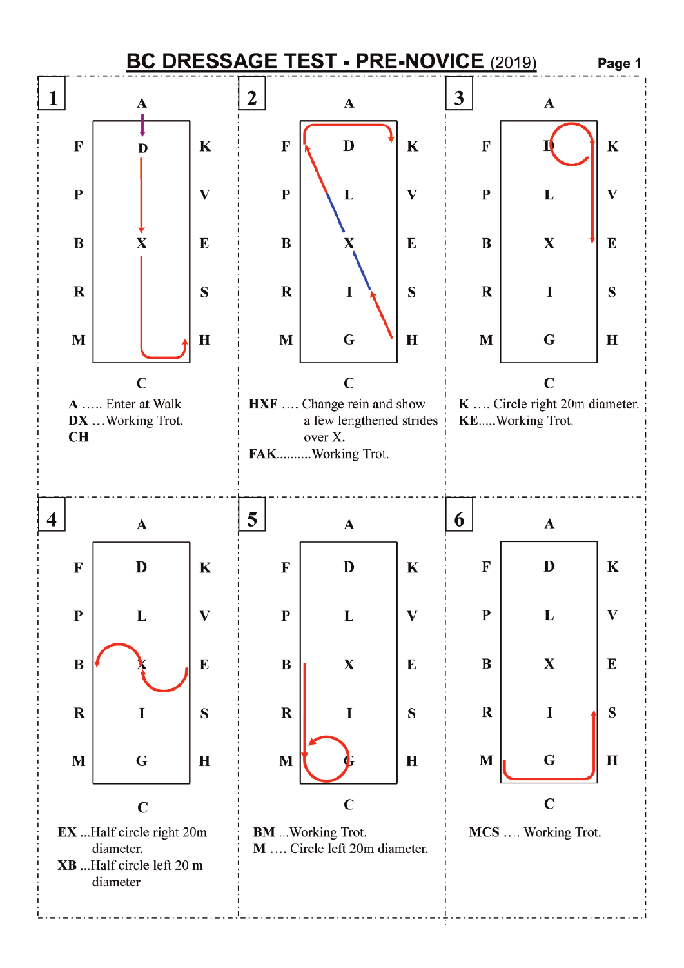